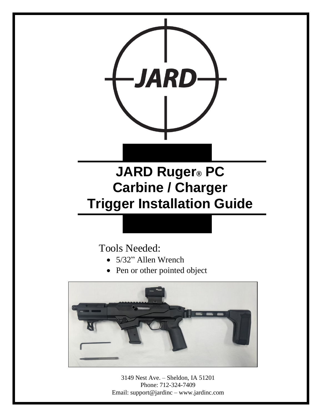

# **JARD Ruger® PC Carbine / Charger Trigger Installation Guide**

# Tools Needed:

- 5/32" Allen Wrench
- Pen or other pointed object



3149 Nest Ave. – Sheldon, IA 51201 Phone: 712-324-7409 Email: support@jardinc – www.jardinc.com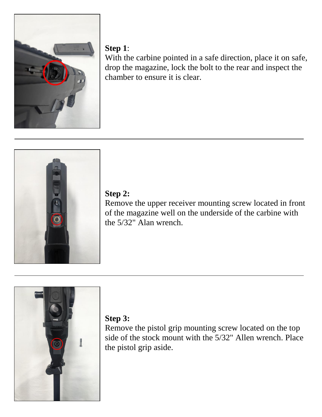

#### **Step 1**:

With the carbine pointed in a safe direction, place it on safe, drop the magazine, lock the bolt to the rear and inspect the chamber to ensure it is clear.



#### **Step 2:**

Remove the upper receiver mounting screw located in front of the magazine well on the underside of the carbine with the 5/32" Alan wrench.



## **Step 3:**

Remove the pistol grip mounting screw located on the top side of the stock mount with the 5/32" Allen wrench. Place the pistol grip aside.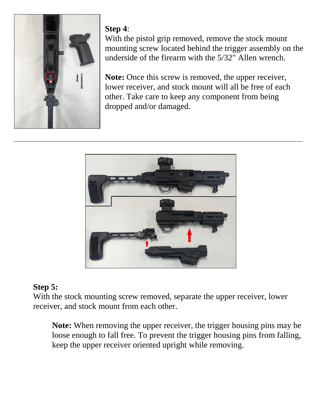

#### **Step 4**:

With the pistol grip removed, remove the stock mount mounting screw located behind the trigger assembly on the underside of the firearm with the 5/32" Allen wrench.

**Note:** Once this screw is removed, the upper receiver, lower receiver, and stock mount will all be free of each other. Take care to keep any component from being dropped and/or damaged.



#### **Step 5:**

With the stock mounting screw removed, separate the upper receiver, lower receiver, and stock mount from each other.

**Note:** When removing the upper receiver, the trigger housing pins may be loose enough to fall free. To prevent the trigger housing pins from falling, keep the upper receiver oriented upright while removing.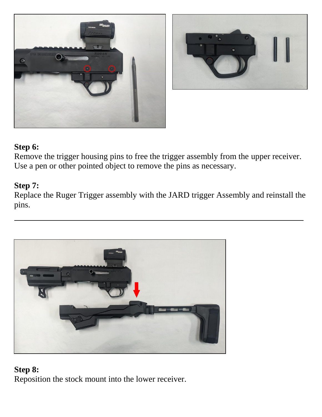



#### **Step 6:**

Remove the trigger housing pins to free the trigger assembly from the upper receiver. Use a pen or other pointed object to remove the pins as necessary.

#### **Step 7:**

Replace the Ruger Trigger assembly with the JARD trigger Assembly and reinstall the pins.



#### **Step 8:**

Reposition the stock mount into the lower receiver.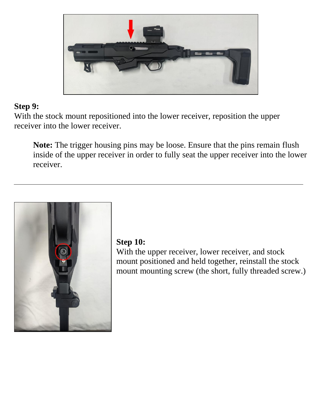

#### **Step 9:**

With the stock mount repositioned into the lower receiver, reposition the upper receiver into the lower receiver.

**Note:** The trigger housing pins may be loose. Ensure that the pins remain flush inside of the upper receiver in order to fully seat the upper receiver into the lower receiver.



#### **Step 10:**

With the upper receiver, lower receiver, and stock mount positioned and held together, reinstall the stock mount mounting screw (the short, fully threaded screw.)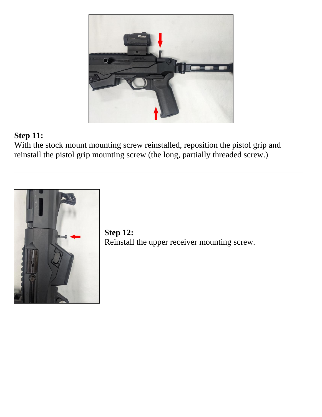

### **Step 11:**

With the stock mount mounting screw reinstalled, reposition the pistol grip and reinstall the pistol grip mounting screw (the long, partially threaded screw.)



**Step 12:** Reinstall the upper receiver mounting screw.